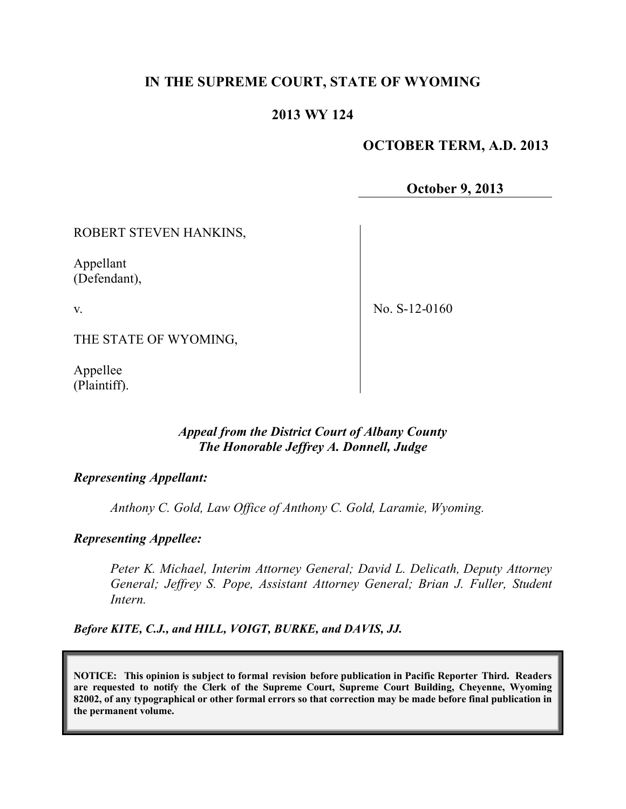# **IN THE SUPREME COURT, STATE OF WYOMING**

## **2013 WY 124**

## **OCTOBER TERM, A.D. 2013**

**October 9, 2013**

ROBERT STEVEN HANKINS,

Appellant (Defendant),

v.

No. S-12-0160

THE STATE OF WYOMING,

Appellee (Plaintiff).

## *Appeal from the District Court of Albany County The Honorable Jeffrey A. Donnell, Judge*

### *Representing Appellant:*

*Anthony C. Gold, Law Office of Anthony C. Gold, Laramie, Wyoming.*

## *Representing Appellee:*

*Peter K. Michael, Interim Attorney General; David L. Delicath, Deputy Attorney General; Jeffrey S. Pope, Assistant Attorney General; Brian J. Fuller, Student Intern.*

*Before KITE, C.J., and HILL, VOIGT, BURKE, and DAVIS, JJ.*

**NOTICE: This opinion is subject to formal revision before publication in Pacific Reporter Third. Readers are requested to notify the Clerk of the Supreme Court, Supreme Court Building, Cheyenne, Wyoming 82002, of any typographical or other formal errors so that correction may be made before final publication in the permanent volume.**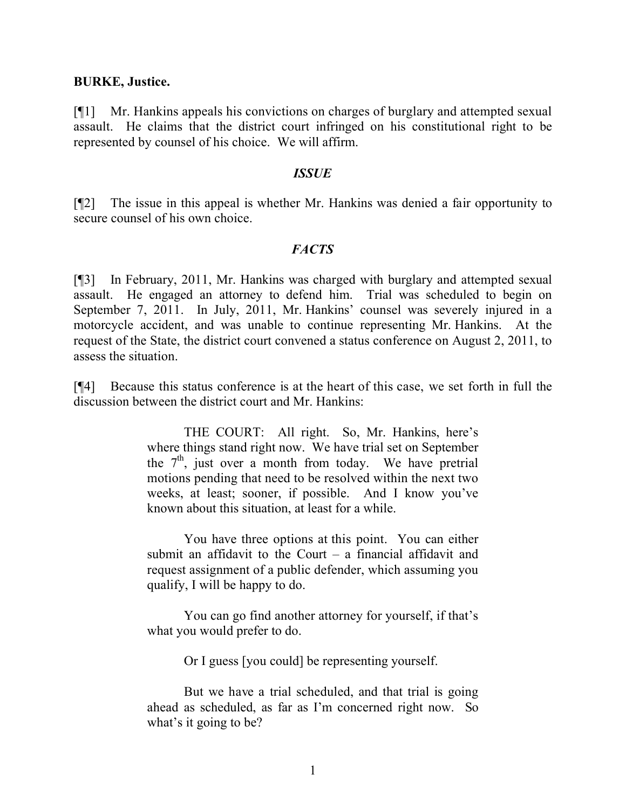#### **BURKE, Justice.**

[¶1] Mr. Hankins appeals his convictions on charges of burglary and attempted sexual assault. He claims that the district court infringed on his constitutional right to be represented by counsel of his choice. We will affirm.

#### *ISSUE*

[¶2] The issue in this appeal is whether Mr. Hankins was denied a fair opportunity to secure counsel of his own choice.

#### *FACTS*

[¶3] In February, 2011, Mr. Hankins was charged with burglary and attempted sexual assault. He engaged an attorney to defend him. Trial was scheduled to begin on September 7, 2011. In July, 2011, Mr. Hankins' counsel was severely injured in a motorcycle accident, and was unable to continue representing Mr. Hankins. At the request of the State, the district court convened a status conference on August 2, 2011, to assess the situation.

[¶4] Because this status conference is at the heart of this case, we set forth in full the discussion between the district court and Mr. Hankins:

> THE COURT: All right. So, Mr. Hankins, here's where things stand right now. We have trial set on September the  $7<sup>th</sup>$ , just over a month from today. We have pretrial motions pending that need to be resolved within the next two weeks, at least; sooner, if possible. And I know you've known about this situation, at least for a while.

> You have three options at this point. You can either submit an affidavit to the Court  $-$  a financial affidavit and request assignment of a public defender, which assuming you qualify, I will be happy to do.

> You can go find another attorney for yourself, if that's what you would prefer to do.

> > Or I guess [you could] be representing yourself.

But we have a trial scheduled, and that trial is going ahead as scheduled, as far as I'm concerned right now. So what's it going to be?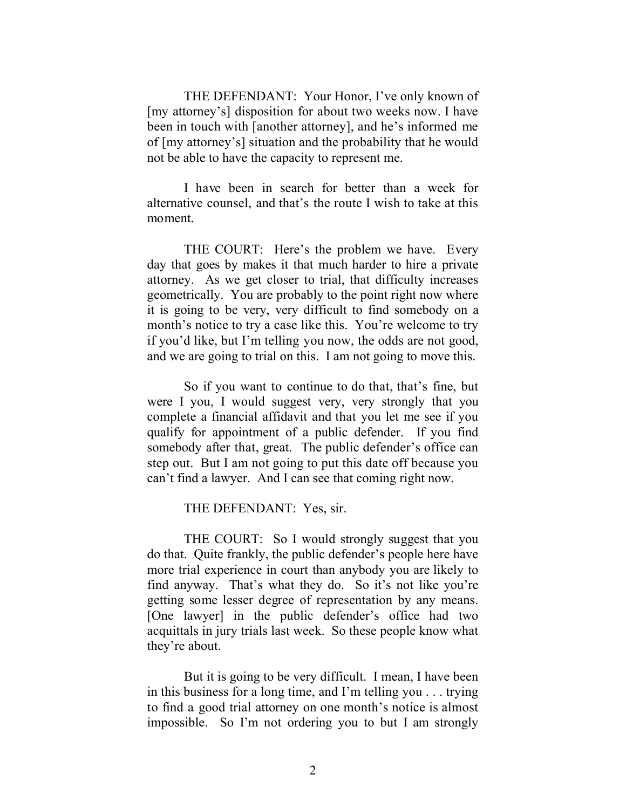THE DEFENDANT: Your Honor, I've only known of [my attorney's] disposition for about two weeks now. I have been in touch with [another attorney], and he's informed me of [my attorney's] situation and the probability that he would not be able to have the capacity to represent me.

I have been in search for better than a week for alternative counsel, and that's the route I wish to take at this moment.

THE COURT: Here's the problem we have. Every day that goes by makes it that much harder to hire a private attorney. As we get closer to trial, that difficulty increases geometrically. You are probably to the point right now where it is going to be very, very difficult to find somebody on a month's notice to try a case like this. You're welcome to try if you'd like, but I'm telling you now, the odds are not good, and we are going to trial on this. I am not going to move this.

So if you want to continue to do that, that's fine, but were I you, I would suggest very, very strongly that you complete a financial affidavit and that you let me see if you qualify for appointment of a public defender. If you find somebody after that, great. The public defender's office can step out. But I am not going to put this date off because you can't find a lawyer. And I can see that coming right now.

#### THE DEFENDANT: Yes, sir.

THE COURT: So I would strongly suggest that you do that. Quite frankly, the public defender's people here have more trial experience in court than anybody you are likely to find anyway. That's what they do. So it's not like you're getting some lesser degree of representation by any means. [One lawyer] in the public defender's office had two acquittals in jury trials last week. So these people know what they're about.

But it is going to be very difficult. I mean, I have been in this business for a long time, and I'm telling you . . . trying to find a good trial attorney on one month's notice is almost impossible. So I'm not ordering you to but I am strongly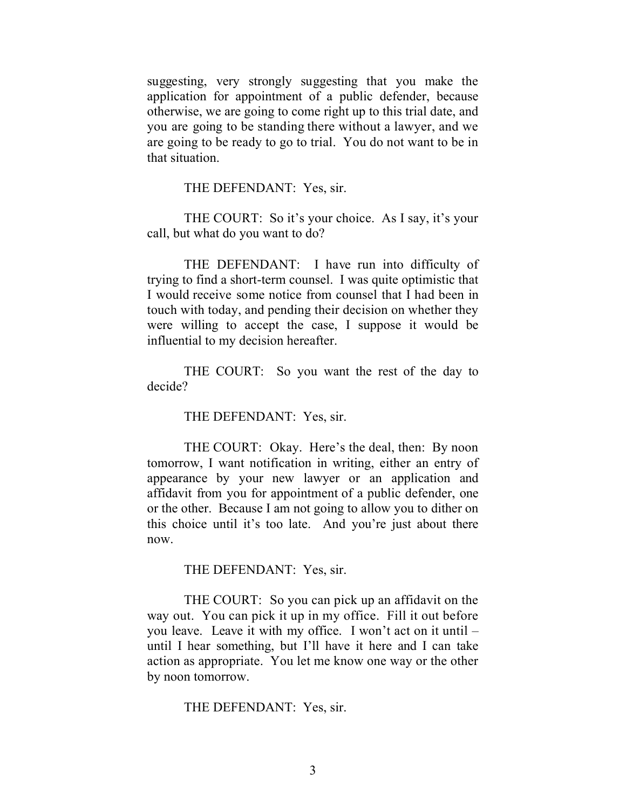suggesting, very strongly suggesting that you make the application for appointment of a public defender, because otherwise, we are going to come right up to this trial date, and you are going to be standing there without a lawyer, and we are going to be ready to go to trial. You do not want to be in that situation.

THE DEFENDANT: Yes, sir.

THE COURT: So it's your choice. As I say, it's your call, but what do you want to do?

THE DEFENDANT: I have run into difficulty of trying to find a short-term counsel. I was quite optimistic that I would receive some notice from counsel that I had been in touch with today, and pending their decision on whether they were willing to accept the case, I suppose it would be influential to my decision hereafter.

THE COURT: So you want the rest of the day to decide?

THE DEFENDANT: Yes, sir.

THE COURT: Okay. Here's the deal, then: By noon tomorrow, I want notification in writing, either an entry of appearance by your new lawyer or an application and affidavit from you for appointment of a public defender, one or the other. Because I am not going to allow you to dither on this choice until it's too late. And you're just about there now.

THE DEFENDANT: Yes, sir.

THE COURT: So you can pick up an affidavit on the way out. You can pick it up in my office. Fill it out before you leave. Leave it with my office. I won't act on it until – until I hear something, but I'll have it here and I can take action as appropriate. You let me know one way or the other by noon tomorrow.

#### THE DEFENDANT: Yes, sir.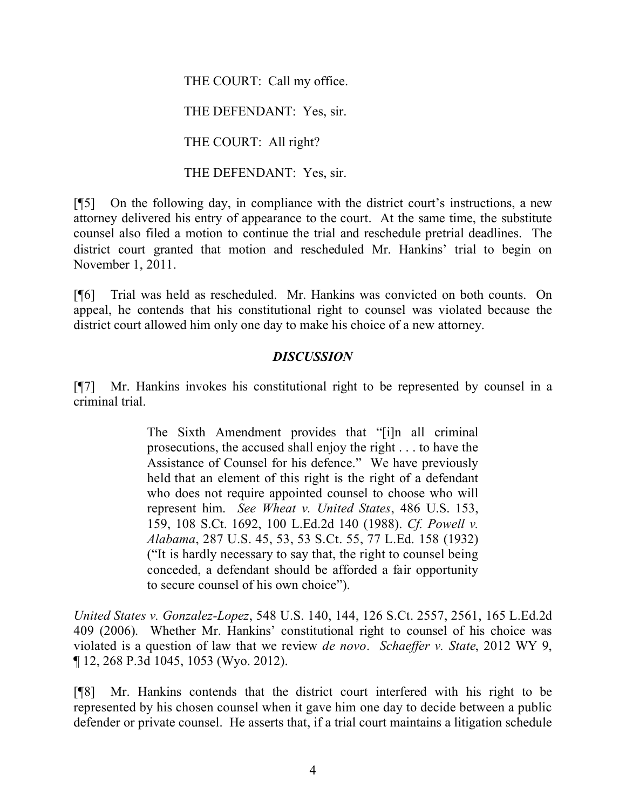THE COURT: Call my office.

THE DEFENDANT: Yes, sir.

THE COURT: All right?

THE DEFENDANT: Yes, sir.

[¶5] On the following day, in compliance with the district court's instructions, a new attorney delivered his entry of appearance to the court. At the same time, the substitute counsel also filed a motion to continue the trial and reschedule pretrial deadlines. The district court granted that motion and rescheduled Mr. Hankins' trial to begin on November 1, 2011.

[¶6] Trial was held as rescheduled. Mr. Hankins was convicted on both counts. On appeal, he contends that his constitutional right to counsel was violated because the district court allowed him only one day to make his choice of a new attorney.

### *DISCUSSION*

[¶7] Mr. Hankins invokes his constitutional right to be represented by counsel in a criminal trial.

> The Sixth Amendment provides that "[i]n all criminal prosecutions, the accused shall enjoy the right . . . to have the Assistance of Counsel for his defence." We have previously held that an element of this right is the right of a defendant who does not require appointed counsel to choose who will represent him. *See Wheat v. United States*, 486 U.S. 153, 159, 108 S.Ct. 1692, 100 L.Ed.2d 140 (1988). *Cf. Powell v. Alabama*, 287 U.S. 45, 53, 53 S.Ct. 55, 77 L.Ed. 158 (1932) ("It is hardly necessary to say that, the right to counsel being conceded, a defendant should be afforded a fair opportunity to secure counsel of his own choice").

*United States v. Gonzalez-Lopez*, 548 U.S. 140, 144, 126 S.Ct. 2557, 2561, 165 L.Ed.2d 409 (2006). Whether Mr. Hankins' constitutional right to counsel of his choice was violated is a question of law that we review *de novo*. *Schaeffer v. State*, 2012 WY 9, ¶ 12, 268 P.3d 1045, 1053 (Wyo. 2012).

[¶8] Mr. Hankins contends that the district court interfered with his right to be represented by his chosen counsel when it gave him one day to decide between a public defender or private counsel. He asserts that, if a trial court maintains a litigation schedule